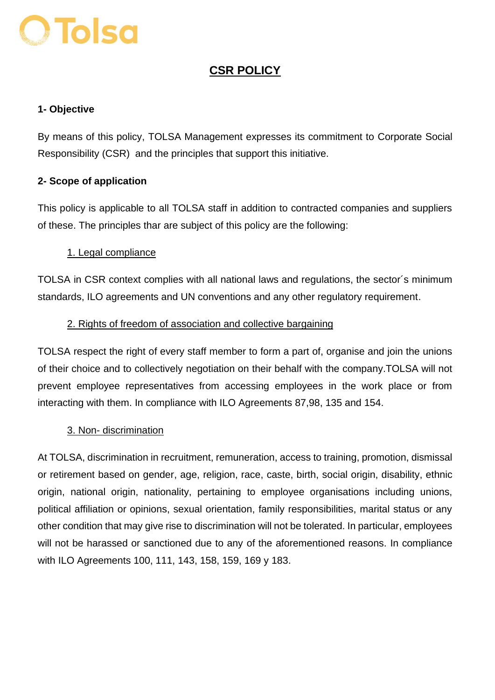# **O Tolsa**

# **CSR POLICY**

# **1- Objective**

By means of this policy, TOLSA Management expresses its commitment to Corporate Social Responsibility (CSR) and the principles that support this initiative.

# **2- Scope of application**

This policy is applicable to all TOLSA staff in addition to contracted companies and suppliers of these. The principles thar are subject of this policy are the following:

# 1. Legal compliance

TOLSA in CSR context complies with all national laws and regulations, the sector´s minimum standards, ILO agreements and UN conventions and any other regulatory requirement.

# 2. Rights of freedom of association and collective bargaining

TOLSA respect the right of every staff member to form a part of, organise and join the unions of their choice and to collectively negotiation on their behalf with the company.TOLSA will not prevent employee representatives from accessing employees in the work place or from interacting with them. In compliance with ILO Agreements 87,98, 135 and 154.

#### 3. Non- discrimination

At TOLSA, discrimination in recruitment, remuneration, access to training, promotion, dismissal or retirement based on gender, age, religion, race, caste, birth, social origin, disability, ethnic origin, national origin, nationality, pertaining to employee organisations including unions, political affiliation or opinions, sexual orientation, family responsibilities, marital status or any other condition that may give rise to discrimination will not be tolerated. In particular, employees will not be harassed or sanctioned due to any of the aforementioned reasons. In compliance with ILO Agreements 100, 111, 143, 158, 159, 169 y 183.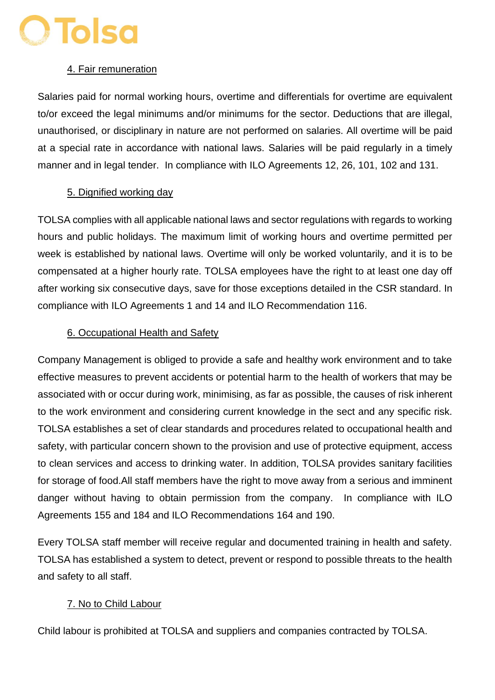# O Tolsa

#### 4. Fair remuneration

Salaries paid for normal working hours, overtime and differentials for overtime are equivalent to/or exceed the legal minimums and/or minimums for the sector. Deductions that are illegal, unauthorised, or disciplinary in nature are not performed on salaries. All overtime will be paid at a special rate in accordance with national laws. Salaries will be paid regularly in a timely manner and in legal tender. In compliance with ILO Agreements 12, 26, 101, 102 and 131.

#### 5. Dignified working day

TOLSA complies with all applicable national laws and sector regulations with regards to working hours and public holidays. The maximum limit of working hours and overtime permitted per week is established by national laws. Overtime will only be worked voluntarily, and it is to be compensated at a higher hourly rate. TOLSA employees have the right to at least one day off after working six consecutive days, save for those exceptions detailed in the CSR standard. In compliance with ILO Agreements 1 and 14 and ILO Recommendation 116.

# 6. Occupational Health and Safety

Company Management is obliged to provide a safe and healthy work environment and to take effective measures to prevent accidents or potential harm to the health of workers that may be associated with or occur during work, minimising, as far as possible, the causes of risk inherent to the work environment and considering current knowledge in the sect and any specific risk. TOLSA establishes a set of clear standards and procedures related to occupational health and safety, with particular concern shown to the provision and use of protective equipment, access to clean services and access to drinking water. In addition, TOLSA provides sanitary facilities for storage of food.All staff members have the right to move away from a serious and imminent danger without having to obtain permission from the company. In compliance with ILO Agreements 155 and 184 and ILO Recommendations 164 and 190.

Every TOLSA staff member will receive regular and documented training in health and safety. TOLSA has established a system to detect, prevent or respond to possible threats to the health and safety to all staff.

#### 7. No to Child Labour

Child labour is prohibited at TOLSA and suppliers and companies contracted by TOLSA.